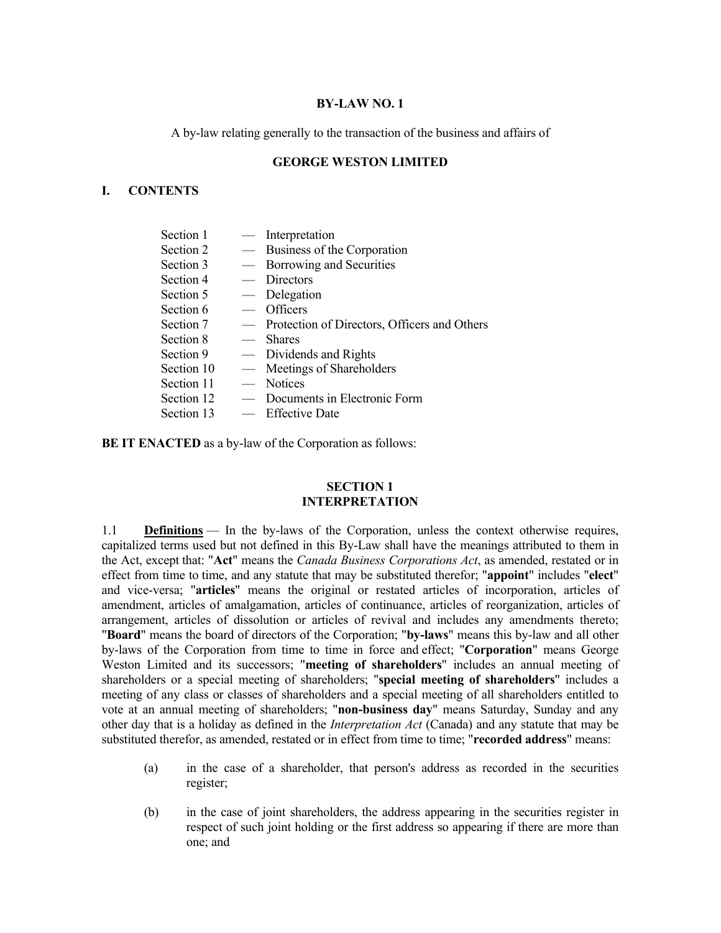### **BY-LAW NO. 1**

A by-law relating generally to the transaction of the business and affairs of

### **GEORGE WESTON LIMITED**

## **I. CONTENTS**

| — Interpretation                               |
|------------------------------------------------|
| — Business of the Corporation                  |
| — Borrowing and Securities                     |
| — Directors                                    |
| — Delegation                                   |
| $-$ Officers                                   |
| - Protection of Directors, Officers and Others |
| — Shares                                       |
| — Dividends and Rights                         |
| — Meetings of Shareholders                     |
| — Notices                                      |
| Documents in Electronic Form                   |
| — Effective Date                               |
|                                                |

**BE IT ENACTED** as a by-law of the Corporation as follows:

## **SECTION 1 INTERPRETATION**

1.1 **Definitions** — In the by-laws of the Corporation, unless the context otherwise requires, capitalized terms used but not defined in this By-Law shall have the meanings attributed to them in the Act, except that: "**Act**" means the *Canada Business Corporations Act*, as amended, restated or in effect from time to time, and any statute that may be substituted therefor; "**appoint**" includes "**elect**" and vice-versa; "**articles**" means the original or restated articles of incorporation, articles of amendment, articles of amalgamation, articles of continuance, articles of reorganization, articles of arrangement, articles of dissolution or articles of revival and includes any amendments thereto; "**Board**" means the board of directors of the Corporation; "**by-laws**" means this by-law and all other by-laws of the Corporation from time to time in force and effect; "**Corporation**" means George Weston Limited and its successors; "**meeting of shareholders**" includes an annual meeting of shareholders or a special meeting of shareholders; "**special meeting of shareholders**" includes a meeting of any class or classes of shareholders and a special meeting of all shareholders entitled to vote at an annual meeting of shareholders; "**non-business day**" means Saturday, Sunday and any other day that is a holiday as defined in the *Interpretation Act* (Canada) and any statute that may be substituted therefor, as amended, restated or in effect from time to time; "**recorded address**" means:

- (a) in the case of a shareholder, that person's address as recorded in the securities register;
- (b) in the case of joint shareholders, the address appearing in the securities register in respect of such joint holding or the first address so appearing if there are more than one; and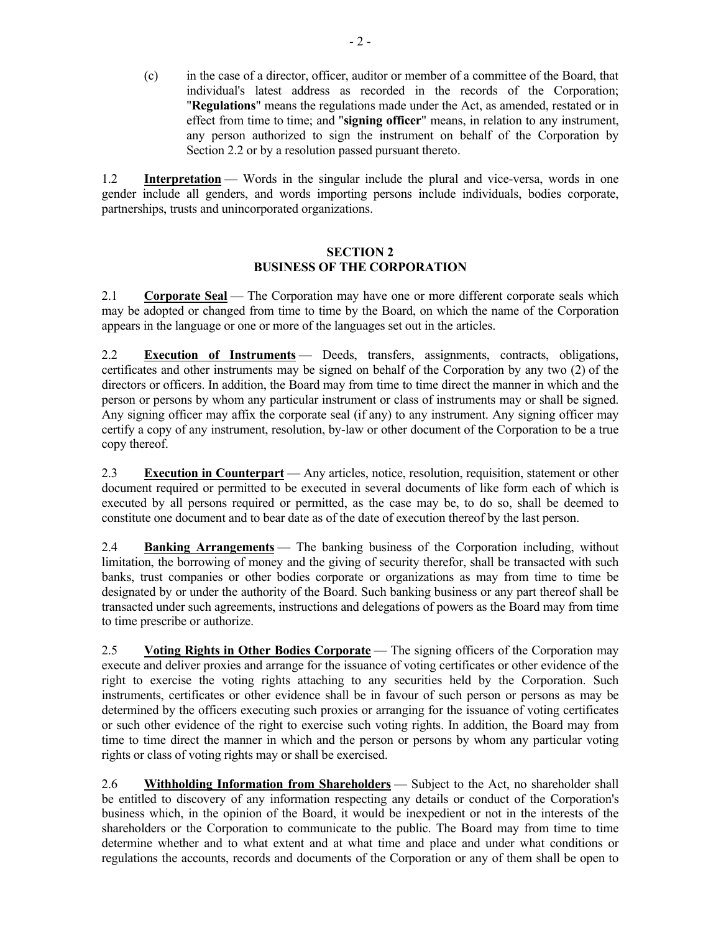(c) in the case of a director, officer, auditor or member of a committee of the Board, that individual's latest address as recorded in the records of the Corporation; "**Regulations**" means the regulations made under the Act, as amended, restated or in effect from time to time; and "**signing officer**" means, in relation to any instrument, any person authorized to sign the instrument on behalf of the Corporation by Section 2.2 or by a resolution passed pursuant thereto.

1.2 **Interpretation** — Words in the singular include the plural and vice-versa, words in one gender include all genders, and words importing persons include individuals, bodies corporate, partnerships, trusts and unincorporated organizations.

### **SECTION 2 BUSINESS OF THE CORPORATION**

2.1 **Corporate Seal** — The Corporation may have one or more different corporate seals which may be adopted or changed from time to time by the Board, on which the name of the Corporation appears in the language or one or more of the languages set out in the articles.

2.2 **Execution of Instruments** — Deeds, transfers, assignments, contracts, obligations, certificates and other instruments may be signed on behalf of the Corporation by any two (2) of the directors or officers. In addition, the Board may from time to time direct the manner in which and the person or persons by whom any particular instrument or class of instruments may or shall be signed. Any signing officer may affix the corporate seal (if any) to any instrument. Any signing officer may certify a copy of any instrument, resolution, by-law or other document of the Corporation to be a true copy thereof.

2.3 **Execution in Counterpart** — Any articles, notice, resolution, requisition, statement or other document required or permitted to be executed in several documents of like form each of which is executed by all persons required or permitted, as the case may be, to do so, shall be deemed to constitute one document and to bear date as of the date of execution thereof by the last person.

2.4 **Banking Arrangements** — The banking business of the Corporation including, without limitation, the borrowing of money and the giving of security therefor, shall be transacted with such banks, trust companies or other bodies corporate or organizations as may from time to time be designated by or under the authority of the Board. Such banking business or any part thereof shall be transacted under such agreements, instructions and delegations of powers as the Board may from time to time prescribe or authorize.

2.5 **Voting Rights in Other Bodies Corporate** — The signing officers of the Corporation may execute and deliver proxies and arrange for the issuance of voting certificates or other evidence of the right to exercise the voting rights attaching to any securities held by the Corporation. Such instruments, certificates or other evidence shall be in favour of such person or persons as may be determined by the officers executing such proxies or arranging for the issuance of voting certificates or such other evidence of the right to exercise such voting rights. In addition, the Board may from time to time direct the manner in which and the person or persons by whom any particular voting rights or class of voting rights may or shall be exercised.

2.6 **Withholding Information from Shareholders** — Subject to the Act, no shareholder shall be entitled to discovery of any information respecting any details or conduct of the Corporation's business which, in the opinion of the Board, it would be inexpedient or not in the interests of the shareholders or the Corporation to communicate to the public. The Board may from time to time determine whether and to what extent and at what time and place and under what conditions or regulations the accounts, records and documents of the Corporation or any of them shall be open to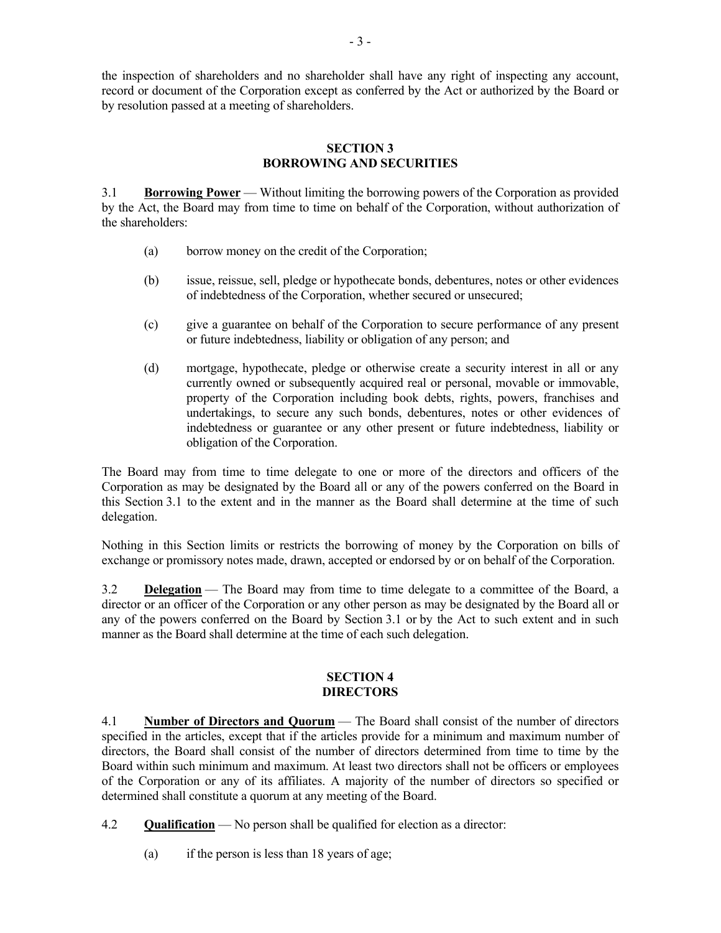the inspection of shareholders and no shareholder shall have any right of inspecting any account, record or document of the Corporation except as conferred by the Act or authorized by the Board or by resolution passed at a meeting of shareholders.

#### **SECTION 3 BORROWING AND SECURITIES**

3.1 **Borrowing Power** — Without limiting the borrowing powers of the Corporation as provided by the Act, the Board may from time to time on behalf of the Corporation, without authorization of the shareholders:

- (a) borrow money on the credit of the Corporation;
- (b) issue, reissue, sell, pledge or hypothecate bonds, debentures, notes or other evidences of indebtedness of the Corporation, whether secured or unsecured;
- (c) give a guarantee on behalf of the Corporation to secure performance of any present or future indebtedness, liability or obligation of any person; and
- (d) mortgage, hypothecate, pledge or otherwise create a security interest in all or any currently owned or subsequently acquired real or personal, movable or immovable, property of the Corporation including book debts, rights, powers, franchises and undertakings, to secure any such bonds, debentures, notes or other evidences of indebtedness or guarantee or any other present or future indebtedness, liability or obligation of the Corporation.

The Board may from time to time delegate to one or more of the directors and officers of the Corporation as may be designated by the Board all or any of the powers conferred on the Board in this Section 3.1 to the extent and in the manner as the Board shall determine at the time of such delegation.

Nothing in this Section limits or restricts the borrowing of money by the Corporation on bills of exchange or promissory notes made, drawn, accepted or endorsed by or on behalf of the Corporation.

3.2 **Delegation** — The Board may from time to time delegate to a committee of the Board, a director or an officer of the Corporation or any other person as may be designated by the Board all or any of the powers conferred on the Board by Section 3.1 or by the Act to such extent and in such manner as the Board shall determine at the time of each such delegation.

#### **SECTION 4 DIRECTORS**

4.1 **Number of Directors and Quorum** — The Board shall consist of the number of directors specified in the articles, except that if the articles provide for a minimum and maximum number of directors, the Board shall consist of the number of directors determined from time to time by the Board within such minimum and maximum. At least two directors shall not be officers or employees of the Corporation or any of its affiliates. A majority of the number of directors so specified or determined shall constitute a quorum at any meeting of the Board.

4.2 **Qualification** — No person shall be qualified for election as a director:

(a) if the person is less than 18 years of age;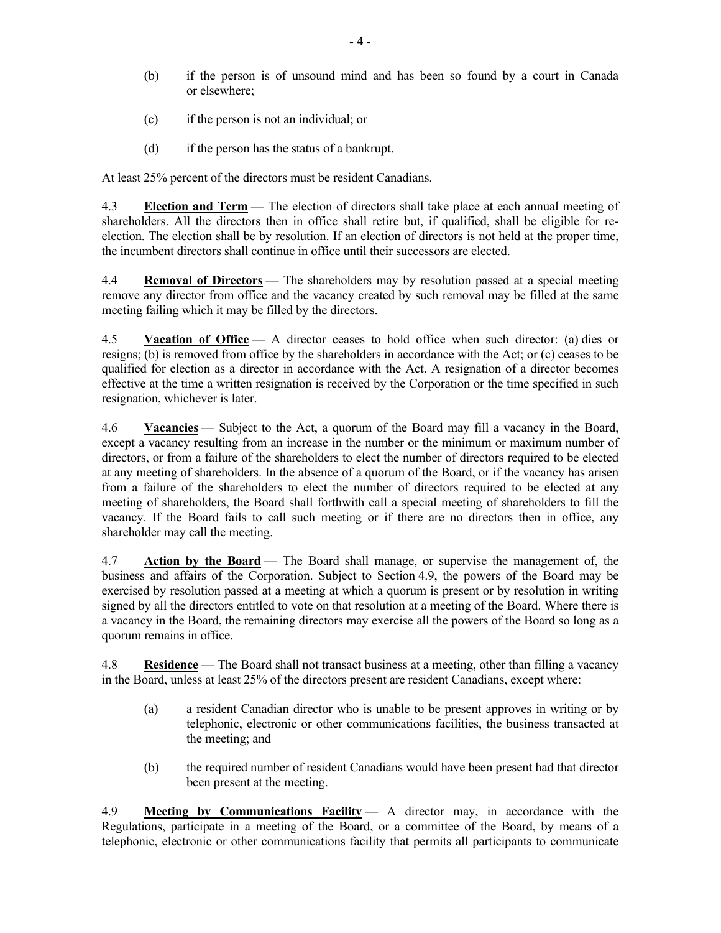- (b) if the person is of unsound mind and has been so found by a court in Canada or elsewhere;
- (c) if the person is not an individual; or
- (d) if the person has the status of a bankrupt.

At least 25% percent of the directors must be resident Canadians.

4.3 **Election and Term** — The election of directors shall take place at each annual meeting of shareholders. All the directors then in office shall retire but, if qualified, shall be eligible for reelection. The election shall be by resolution. If an election of directors is not held at the proper time, the incumbent directors shall continue in office until their successors are elected.

4.4 **Removal of Directors** — The shareholders may by resolution passed at a special meeting remove any director from office and the vacancy created by such removal may be filled at the same meeting failing which it may be filled by the directors.

4.5 **Vacation of Office** — A director ceases to hold office when such director: (a) dies or resigns; (b) is removed from office by the shareholders in accordance with the Act; or (c) ceases to be qualified for election as a director in accordance with the Act. A resignation of a director becomes effective at the time a written resignation is received by the Corporation or the time specified in such resignation, whichever is later.

4.6 **Vacancies** — Subject to the Act, a quorum of the Board may fill a vacancy in the Board, except a vacancy resulting from an increase in the number or the minimum or maximum number of directors, or from a failure of the shareholders to elect the number of directors required to be elected at any meeting of shareholders. In the absence of a quorum of the Board, or if the vacancy has arisen from a failure of the shareholders to elect the number of directors required to be elected at any meeting of shareholders, the Board shall forthwith call a special meeting of shareholders to fill the vacancy. If the Board fails to call such meeting or if there are no directors then in office, any shareholder may call the meeting.

4.7 **Action by the Board** — The Board shall manage, or supervise the management of, the business and affairs of the Corporation. Subject to Section 4.9, the powers of the Board may be exercised by resolution passed at a meeting at which a quorum is present or by resolution in writing signed by all the directors entitled to vote on that resolution at a meeting of the Board. Where there is a vacancy in the Board, the remaining directors may exercise all the powers of the Board so long as a quorum remains in office.

4.8 **Residence** — The Board shall not transact business at a meeting, other than filling a vacancy in the Board, unless at least 25% of the directors present are resident Canadians, except where:

- (a) a resident Canadian director who is unable to be present approves in writing or by telephonic, electronic or other communications facilities, the business transacted at the meeting; and
- (b) the required number of resident Canadians would have been present had that director been present at the meeting.

4.9 **Meeting by Communications Facility** — A director may, in accordance with the Regulations, participate in a meeting of the Board, or a committee of the Board, by means of a telephonic, electronic or other communications facility that permits all participants to communicate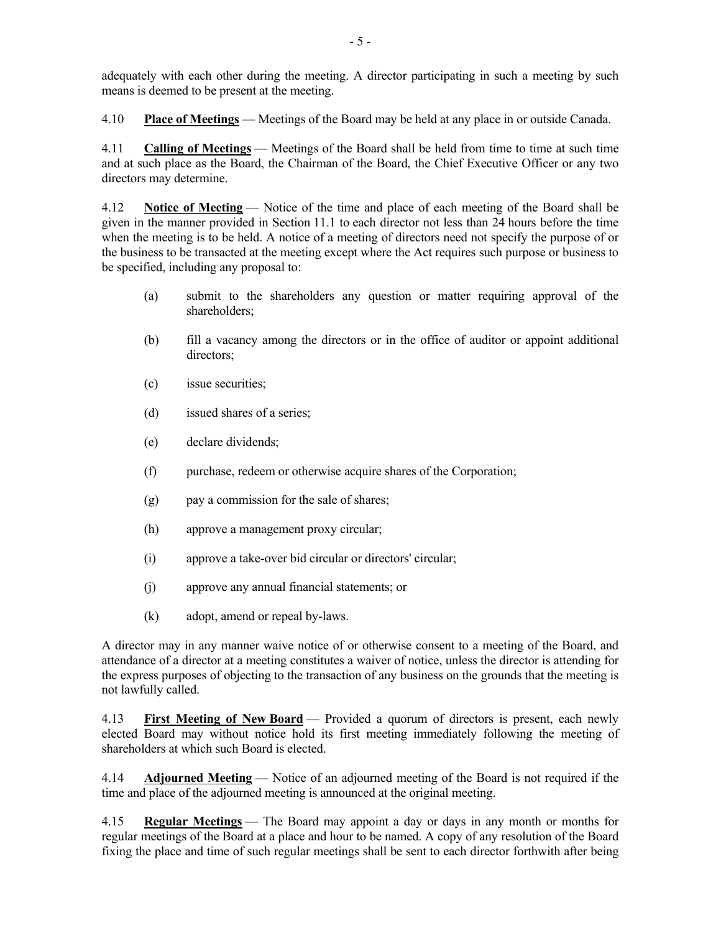adequately with each other during the meeting. A director participating in such a meeting by such means is deemed to be present at the meeting.

4.10 **Place of Meetings** — Meetings of the Board may be held at any place in or outside Canada.

4.11 **Calling of Meetings** — Meetings of the Board shall be held from time to time at such time and at such place as the Board, the Chairman of the Board, the Chief Executive Officer or any two directors may determine.

4.12 **Notice of Meeting** — Notice of the time and place of each meeting of the Board shall be given in the manner provided in Section 11.1 to each director not less than 24 hours before the time when the meeting is to be held. A notice of a meeting of directors need not specify the purpose of or the business to be transacted at the meeting except where the Act requires such purpose or business to be specified, including any proposal to:

- (a) submit to the shareholders any question or matter requiring approval of the shareholders;
- (b) fill a vacancy among the directors or in the office of auditor or appoint additional directors;
- (c) issue securities;
- (d) issued shares of a series;
- (e) declare dividends;
- (f) purchase, redeem or otherwise acquire shares of the Corporation;
- (g) pay a commission for the sale of shares;
- (h) approve a management proxy circular;
- (i) approve a take-over bid circular or directors' circular;
- (j) approve any annual financial statements; or
- (k) adopt, amend or repeal by-laws.

A director may in any manner waive notice of or otherwise consent to a meeting of the Board, and attendance of a director at a meeting constitutes a waiver of notice, unless the director is attending for the express purposes of objecting to the transaction of any business on the grounds that the meeting is not lawfully called.

4.13 **First Meeting of New Board** — Provided a quorum of directors is present, each newly elected Board may without notice hold its first meeting immediately following the meeting of shareholders at which such Board is elected.

4.14 **Adjourned Meeting** — Notice of an adjourned meeting of the Board is not required if the time and place of the adjourned meeting is announced at the original meeting.

4.15 **Regular Meetings** — The Board may appoint a day or days in any month or months for regular meetings of the Board at a place and hour to be named. A copy of any resolution of the Board fixing the place and time of such regular meetings shall be sent to each director forthwith after being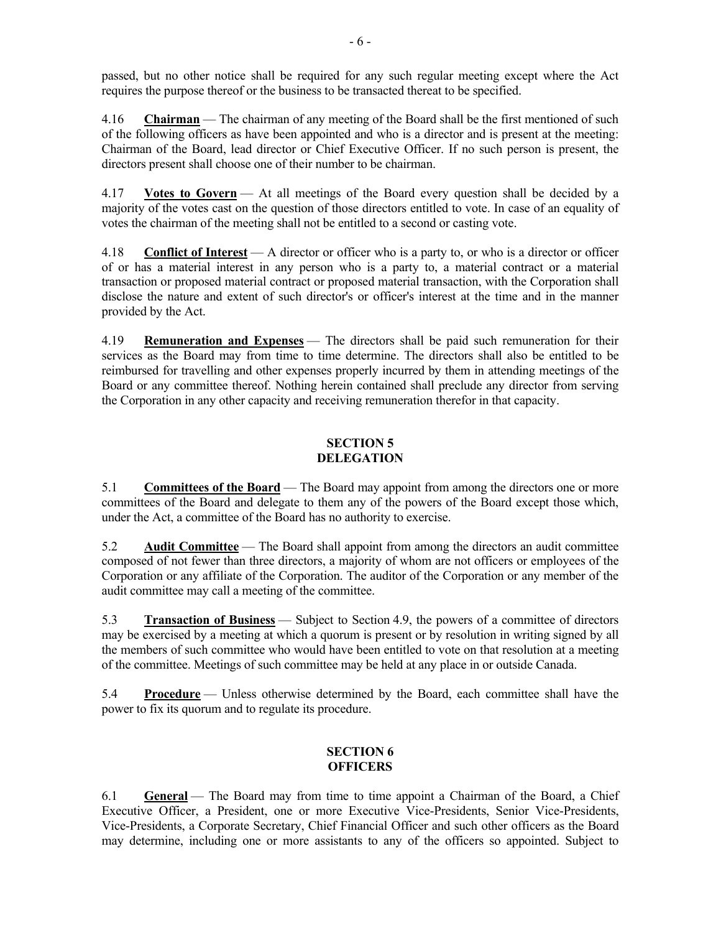passed, but no other notice shall be required for any such regular meeting except where the Act requires the purpose thereof or the business to be transacted thereat to be specified.

4.16 **Chairman** — The chairman of any meeting of the Board shall be the first mentioned of such of the following officers as have been appointed and who is a director and is present at the meeting: Chairman of the Board, lead director or Chief Executive Officer. If no such person is present, the directors present shall choose one of their number to be chairman.

4.17 **Votes to Govern** — At all meetings of the Board every question shall be decided by a majority of the votes cast on the question of those directors entitled to vote. In case of an equality of votes the chairman of the meeting shall not be entitled to a second or casting vote.

4.18 **Conflict of Interest** — A director or officer who is a party to, or who is a director or officer of or has a material interest in any person who is a party to, a material contract or a material transaction or proposed material contract or proposed material transaction, with the Corporation shall disclose the nature and extent of such director's or officer's interest at the time and in the manner provided by the Act.

4.19 **Remuneration and Expenses** — The directors shall be paid such remuneration for their services as the Board may from time to time determine. The directors shall also be entitled to be reimbursed for travelling and other expenses properly incurred by them in attending meetings of the Board or any committee thereof. Nothing herein contained shall preclude any director from serving the Corporation in any other capacity and receiving remuneration therefor in that capacity.

# **SECTION 5 DELEGATION**

5.1 **Committees of the Board** — The Board may appoint from among the directors one or more committees of the Board and delegate to them any of the powers of the Board except those which, under the Act, a committee of the Board has no authority to exercise.

5.2 **Audit Committee** — The Board shall appoint from among the directors an audit committee composed of not fewer than three directors, a majority of whom are not officers or employees of the Corporation or any affiliate of the Corporation. The auditor of the Corporation or any member of the audit committee may call a meeting of the committee.

5.3 **Transaction of Business** — Subject to Section 4.9, the powers of a committee of directors may be exercised by a meeting at which a quorum is present or by resolution in writing signed by all the members of such committee who would have been entitled to vote on that resolution at a meeting of the committee. Meetings of such committee may be held at any place in or outside Canada.

5.4 **Procedure** — Unless otherwise determined by the Board, each committee shall have the power to fix its quorum and to regulate its procedure.

# **SECTION 6 OFFICERS**

6.1 **General** — The Board may from time to time appoint a Chairman of the Board, a Chief Executive Officer, a President, one or more Executive Vice-Presidents, Senior Vice-Presidents, Vice-Presidents, a Corporate Secretary, Chief Financial Officer and such other officers as the Board may determine, including one or more assistants to any of the officers so appointed. Subject to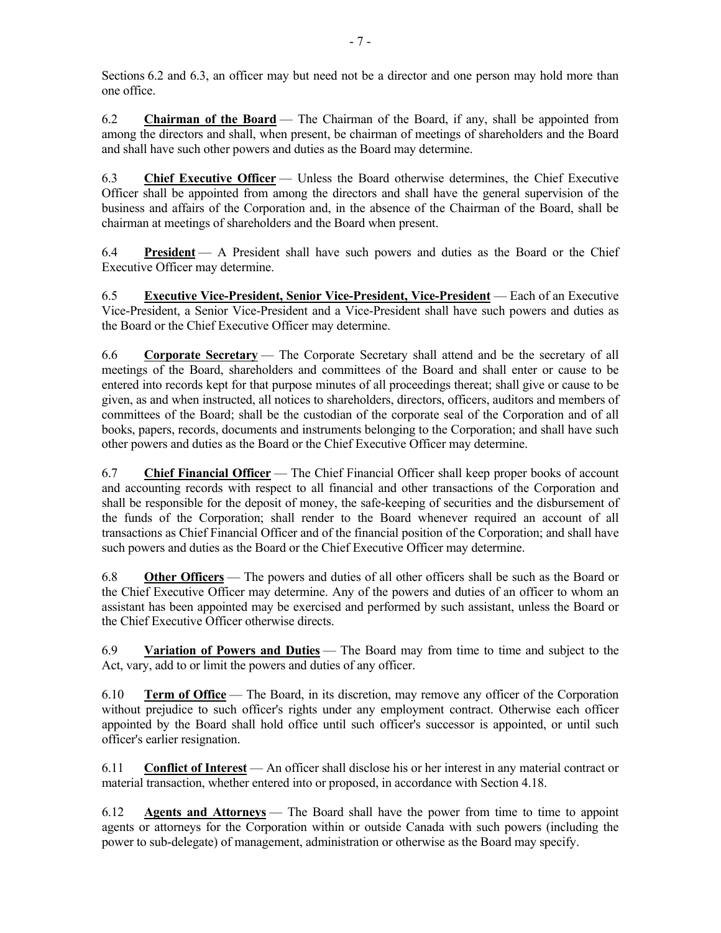Sections 6.2 and 6.3, an officer may but need not be a director and one person may hold more than one office.

6.2 **Chairman of the Board** — The Chairman of the Board, if any, shall be appointed from among the directors and shall, when present, be chairman of meetings of shareholders and the Board and shall have such other powers and duties as the Board may determine.

6.3 **Chief Executive Officer** — Unless the Board otherwise determines, the Chief Executive Officer shall be appointed from among the directors and shall have the general supervision of the business and affairs of the Corporation and, in the absence of the Chairman of the Board, shall be chairman at meetings of shareholders and the Board when present.

6.4 **President** — A President shall have such powers and duties as the Board or the Chief Executive Officer may determine.

6.5 **Executive Vice-President, Senior Vice-President, Vice-President** — Each of an Executive Vice-President, a Senior Vice-President and a Vice-President shall have such powers and duties as the Board or the Chief Executive Officer may determine.

6.6 **Corporate Secretary** — The Corporate Secretary shall attend and be the secretary of all meetings of the Board, shareholders and committees of the Board and shall enter or cause to be entered into records kept for that purpose minutes of all proceedings thereat; shall give or cause to be given, as and when instructed, all notices to shareholders, directors, officers, auditors and members of committees of the Board; shall be the custodian of the corporate seal of the Corporation and of all books, papers, records, documents and instruments belonging to the Corporation; and shall have such other powers and duties as the Board or the Chief Executive Officer may determine.

6.7 **Chief Financial Officer** — The Chief Financial Officer shall keep proper books of account and accounting records with respect to all financial and other transactions of the Corporation and shall be responsible for the deposit of money, the safe-keeping of securities and the disbursement of the funds of the Corporation; shall render to the Board whenever required an account of all transactions as Chief Financial Officer and of the financial position of the Corporation; and shall have such powers and duties as the Board or the Chief Executive Officer may determine.

6.8 **Other Officers** — The powers and duties of all other officers shall be such as the Board or the Chief Executive Officer may determine. Any of the powers and duties of an officer to whom an assistant has been appointed may be exercised and performed by such assistant, unless the Board or the Chief Executive Officer otherwise directs.

6.9 **Variation of Powers and Duties** — The Board may from time to time and subject to the Act, vary, add to or limit the powers and duties of any officer.

6.10 **Term of Office** — The Board, in its discretion, may remove any officer of the Corporation without prejudice to such officer's rights under any employment contract. Otherwise each officer appointed by the Board shall hold office until such officer's successor is appointed, or until such officer's earlier resignation.

6.11 **Conflict of Interest** — An officer shall disclose his or her interest in any material contract or material transaction, whether entered into or proposed, in accordance with Section 4.18.

6.12 **Agents and Attorneys** — The Board shall have the power from time to time to appoint agents or attorneys for the Corporation within or outside Canada with such powers (including the power to sub-delegate) of management, administration or otherwise as the Board may specify.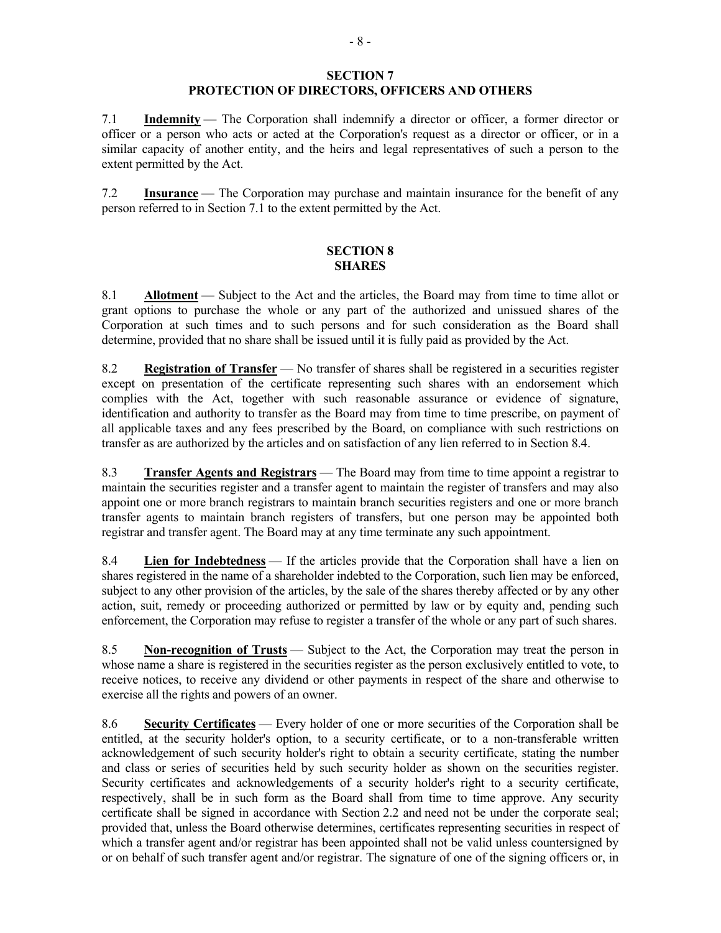### **SECTION 7 PROTECTION OF DIRECTORS, OFFICERS AND OTHERS**

7.1 **Indemnity** — The Corporation shall indemnify a director or officer, a former director or officer or a person who acts or acted at the Corporation's request as a director or officer, or in a similar capacity of another entity, and the heirs and legal representatives of such a person to the extent permitted by the Act.

7.2 **Insurance** — The Corporation may purchase and maintain insurance for the benefit of any person referred to in Section 7.1 to the extent permitted by the Act.

### **SECTION 8 SHARES**

8.1 **Allotment** — Subject to the Act and the articles, the Board may from time to time allot or grant options to purchase the whole or any part of the authorized and unissued shares of the Corporation at such times and to such persons and for such consideration as the Board shall determine, provided that no share shall be issued until it is fully paid as provided by the Act.

8.2 **Registration of Transfer** — No transfer of shares shall be registered in a securities register except on presentation of the certificate representing such shares with an endorsement which complies with the Act, together with such reasonable assurance or evidence of signature, identification and authority to transfer as the Board may from time to time prescribe, on payment of all applicable taxes and any fees prescribed by the Board, on compliance with such restrictions on transfer as are authorized by the articles and on satisfaction of any lien referred to in Section 8.4.

8.3 **Transfer Agents and Registrars** — The Board may from time to time appoint a registrar to maintain the securities register and a transfer agent to maintain the register of transfers and may also appoint one or more branch registrars to maintain branch securities registers and one or more branch transfer agents to maintain branch registers of transfers, but one person may be appointed both registrar and transfer agent. The Board may at any time terminate any such appointment.

8.4 **Lien for Indebtedness** — If the articles provide that the Corporation shall have a lien on shares registered in the name of a shareholder indebted to the Corporation, such lien may be enforced, subject to any other provision of the articles, by the sale of the shares thereby affected or by any other action, suit, remedy or proceeding authorized or permitted by law or by equity and, pending such enforcement, the Corporation may refuse to register a transfer of the whole or any part of such shares.

8.5 **Non-recognition of Trusts** — Subject to the Act, the Corporation may treat the person in whose name a share is registered in the securities register as the person exclusively entitled to vote, to receive notices, to receive any dividend or other payments in respect of the share and otherwise to exercise all the rights and powers of an owner.

8.6 **Security Certificates** — Every holder of one or more securities of the Corporation shall be entitled, at the security holder's option, to a security certificate, or to a non-transferable written acknowledgement of such security holder's right to obtain a security certificate, stating the number and class or series of securities held by such security holder as shown on the securities register. Security certificates and acknowledgements of a security holder's right to a security certificate, respectively, shall be in such form as the Board shall from time to time approve. Any security certificate shall be signed in accordance with Section 2.2 and need not be under the corporate seal; provided that, unless the Board otherwise determines, certificates representing securities in respect of which a transfer agent and/or registrar has been appointed shall not be valid unless countersigned by or on behalf of such transfer agent and/or registrar. The signature of one of the signing officers or, in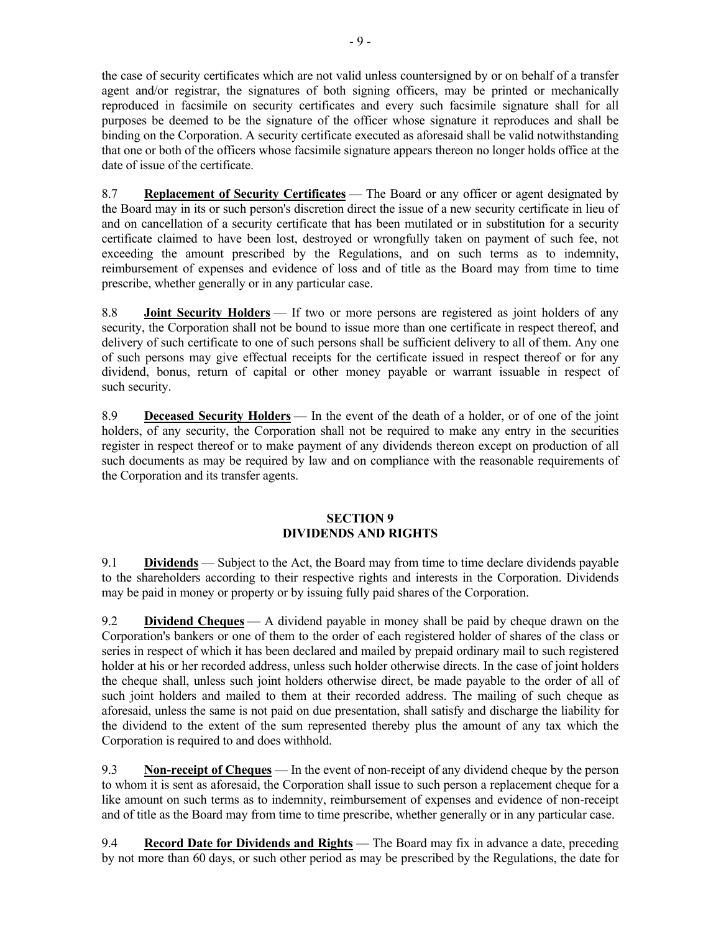the case of security certificates which are not valid unless countersigned by or on behalf of a transfer agent and/or registrar, the signatures of both signing officers, may be printed or mechanically reproduced in facsimile on security certificates and every such facsimile signature shall for all purposes be deemed to be the signature of the officer whose signature it reproduces and shall be binding on the Corporation. A security certificate executed as aforesaid shall be valid notwithstanding that one or both of the officers whose facsimile signature appears thereon no longer holds office at the date of issue of the certificate.

8.7 **Replacement of Security Certificates** — The Board or any officer or agent designated by the Board may in its or such person's discretion direct the issue of a new security certificate in lieu of and on cancellation of a security certificate that has been mutilated or in substitution for a security certificate claimed to have been lost, destroyed or wrongfully taken on payment of such fee, not exceeding the amount prescribed by the Regulations, and on such terms as to indemnity, reimbursement of expenses and evidence of loss and of title as the Board may from time to time prescribe, whether generally or in any particular case.

8.8 **Joint Security Holders** — If two or more persons are registered as joint holders of any security, the Corporation shall not be bound to issue more than one certificate in respect thereof, and delivery of such certificate to one of such persons shall be sufficient delivery to all of them. Any one of such persons may give effectual receipts for the certificate issued in respect thereof or for any dividend, bonus, return of capital or other money payable or warrant issuable in respect of such security.

8.9 **Deceased Security Holders** — In the event of the death of a holder, or of one of the joint holders, of any security, the Corporation shall not be required to make any entry in the securities register in respect thereof or to make payment of any dividends thereon except on production of all such documents as may be required by law and on compliance with the reasonable requirements of the Corporation and its transfer agents.

# **SECTION 9 DIVIDENDS AND RIGHTS**

9.1 **Dividends** — Subject to the Act, the Board may from time to time declare dividends payable to the shareholders according to their respective rights and interests in the Corporation. Dividends may be paid in money or property or by issuing fully paid shares of the Corporation.

9.2 **Dividend Cheques** — A dividend payable in money shall be paid by cheque drawn on the Corporation's bankers or one of them to the order of each registered holder of shares of the class or series in respect of which it has been declared and mailed by prepaid ordinary mail to such registered holder at his or her recorded address, unless such holder otherwise directs. In the case of joint holders the cheque shall, unless such joint holders otherwise direct, be made payable to the order of all of such joint holders and mailed to them at their recorded address. The mailing of such cheque as aforesaid, unless the same is not paid on due presentation, shall satisfy and discharge the liability for the dividend to the extent of the sum represented thereby plus the amount of any tax which the Corporation is required to and does withhold.

9.3 **Non-receipt of Cheques** — In the event of non-receipt of any dividend cheque by the person to whom it is sent as aforesaid, the Corporation shall issue to such person a replacement cheque for a like amount on such terms as to indemnity, reimbursement of expenses and evidence of non-receipt and of title as the Board may from time to time prescribe, whether generally or in any particular case.

9.4 **Record Date for Dividends and Rights** — The Board may fix in advance a date, preceding by not more than 60 days, or such other period as may be prescribed by the Regulations, the date for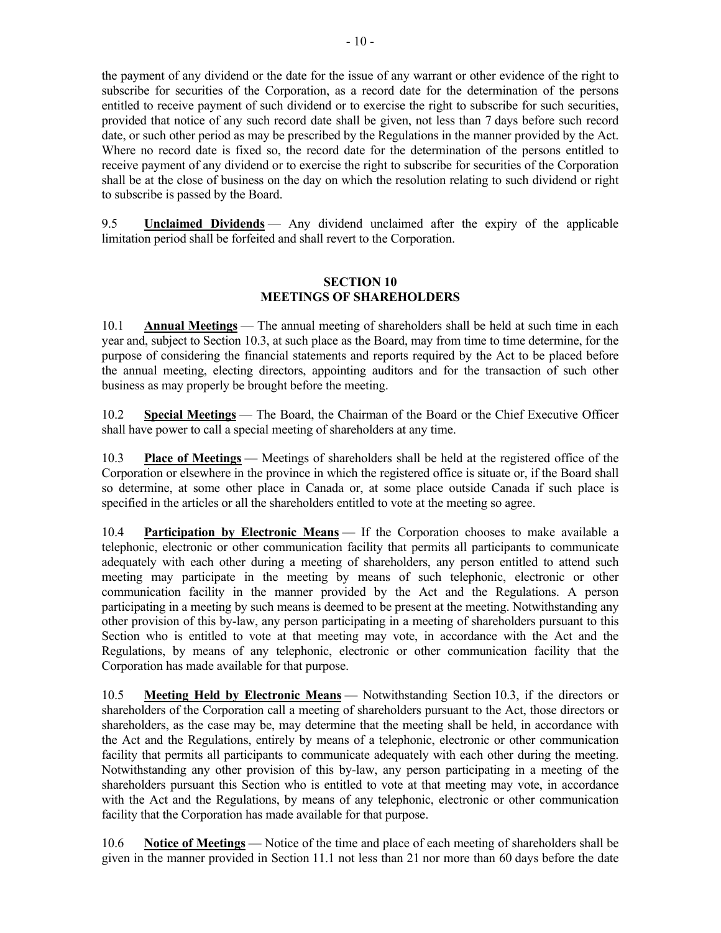the payment of any dividend or the date for the issue of any warrant or other evidence of the right to subscribe for securities of the Corporation, as a record date for the determination of the persons entitled to receive payment of such dividend or to exercise the right to subscribe for such securities, provided that notice of any such record date shall be given, not less than 7 days before such record date, or such other period as may be prescribed by the Regulations in the manner provided by the Act. Where no record date is fixed so, the record date for the determination of the persons entitled to receive payment of any dividend or to exercise the right to subscribe for securities of the Corporation shall be at the close of business on the day on which the resolution relating to such dividend or right to subscribe is passed by the Board.

9.5 **Unclaimed Dividends** — Any dividend unclaimed after the expiry of the applicable limitation period shall be forfeited and shall revert to the Corporation.

### **SECTION 10 MEETINGS OF SHAREHOLDERS**

10.1 **Annual Meetings** — The annual meeting of shareholders shall be held at such time in each year and, subject to Section 10.3, at such place as the Board, may from time to time determine, for the purpose of considering the financial statements and reports required by the Act to be placed before the annual meeting, electing directors, appointing auditors and for the transaction of such other business as may properly be brought before the meeting.

10.2 **Special Meetings** — The Board, the Chairman of the Board or the Chief Executive Officer shall have power to call a special meeting of shareholders at any time.

10.3 **Place of Meetings** — Meetings of shareholders shall be held at the registered office of the Corporation or elsewhere in the province in which the registered office is situate or, if the Board shall so determine, at some other place in Canada or, at some place outside Canada if such place is specified in the articles or all the shareholders entitled to vote at the meeting so agree.

10.4 **Participation by Electronic Means** — If the Corporation chooses to make available a telephonic, electronic or other communication facility that permits all participants to communicate adequately with each other during a meeting of shareholders, any person entitled to attend such meeting may participate in the meeting by means of such telephonic, electronic or other communication facility in the manner provided by the Act and the Regulations. A person participating in a meeting by such means is deemed to be present at the meeting. Notwithstanding any other provision of this by-law, any person participating in a meeting of shareholders pursuant to this Section who is entitled to vote at that meeting may vote, in accordance with the Act and the Regulations, by means of any telephonic, electronic or other communication facility that the Corporation has made available for that purpose.

10.5 **Meeting Held by Electronic Means** — Notwithstanding Section 10.3, if the directors or shareholders of the Corporation call a meeting of shareholders pursuant to the Act, those directors or shareholders, as the case may be, may determine that the meeting shall be held, in accordance with the Act and the Regulations, entirely by means of a telephonic, electronic or other communication facility that permits all participants to communicate adequately with each other during the meeting. Notwithstanding any other provision of this by-law, any person participating in a meeting of the shareholders pursuant this Section who is entitled to vote at that meeting may vote, in accordance with the Act and the Regulations, by means of any telephonic, electronic or other communication facility that the Corporation has made available for that purpose.

10.6 **Notice of Meetings** — Notice of the time and place of each meeting of shareholders shall be given in the manner provided in Section 11.1 not less than 21 nor more than 60 days before the date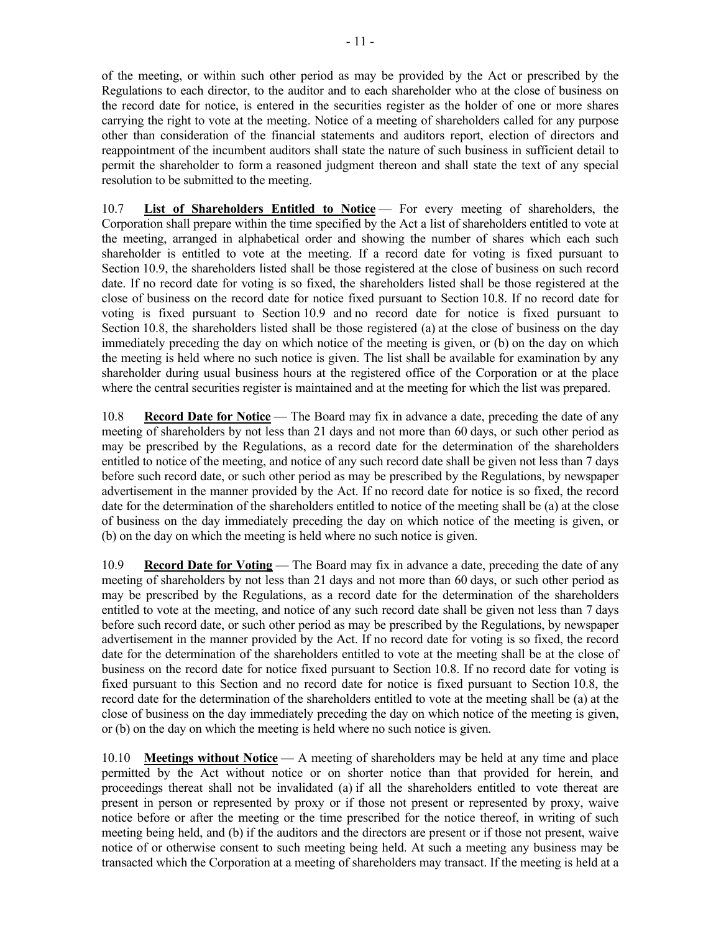of the meeting, or within such other period as may be provided by the Act or prescribed by the Regulations to each director, to the auditor and to each shareholder who at the close of business on the record date for notice, is entered in the securities register as the holder of one or more shares carrying the right to vote at the meeting. Notice of a meeting of shareholders called for any purpose other than consideration of the financial statements and auditors report, election of directors and reappointment of the incumbent auditors shall state the nature of such business in sufficient detail to permit the shareholder to form a reasoned judgment thereon and shall state the text of any special resolution to be submitted to the meeting.

10.7 **List of Shareholders Entitled to Notice** — For every meeting of shareholders, the Corporation shall prepare within the time specified by the Act a list of shareholders entitled to vote at the meeting, arranged in alphabetical order and showing the number of shares which each such shareholder is entitled to vote at the meeting. If a record date for voting is fixed pursuant to Section 10.9, the shareholders listed shall be those registered at the close of business on such record date. If no record date for voting is so fixed, the shareholders listed shall be those registered at the close of business on the record date for notice fixed pursuant to Section 10.8. If no record date for voting is fixed pursuant to Section 10.9 and no record date for notice is fixed pursuant to Section 10.8, the shareholders listed shall be those registered (a) at the close of business on the day immediately preceding the day on which notice of the meeting is given, or (b) on the day on which the meeting is held where no such notice is given. The list shall be available for examination by any shareholder during usual business hours at the registered office of the Corporation or at the place where the central securities register is maintained and at the meeting for which the list was prepared.

10.8 **Record Date for Notice** — The Board may fix in advance a date, preceding the date of any meeting of shareholders by not less than 21 days and not more than 60 days, or such other period as may be prescribed by the Regulations, as a record date for the determination of the shareholders entitled to notice of the meeting, and notice of any such record date shall be given not less than 7 days before such record date, or such other period as may be prescribed by the Regulations, by newspaper advertisement in the manner provided by the Act. If no record date for notice is so fixed, the record date for the determination of the shareholders entitled to notice of the meeting shall be (a) at the close of business on the day immediately preceding the day on which notice of the meeting is given, or (b) on the day on which the meeting is held where no such notice is given.

10.9 **Record Date for Voting** — The Board may fix in advance a date, preceding the date of any meeting of shareholders by not less than 21 days and not more than 60 days, or such other period as may be prescribed by the Regulations, as a record date for the determination of the shareholders entitled to vote at the meeting, and notice of any such record date shall be given not less than 7 days before such record date, or such other period as may be prescribed by the Regulations, by newspaper advertisement in the manner provided by the Act. If no record date for voting is so fixed, the record date for the determination of the shareholders entitled to vote at the meeting shall be at the close of business on the record date for notice fixed pursuant to Section 10.8. If no record date for voting is fixed pursuant to this Section and no record date for notice is fixed pursuant to Section 10.8, the record date for the determination of the shareholders entitled to vote at the meeting shall be (a) at the close of business on the day immediately preceding the day on which notice of the meeting is given, or (b) on the day on which the meeting is held where no such notice is given.

10.10 **Meetings without Notice** — A meeting of shareholders may be held at any time and place permitted by the Act without notice or on shorter notice than that provided for herein, and proceedings thereat shall not be invalidated (a) if all the shareholders entitled to vote thereat are present in person or represented by proxy or if those not present or represented by proxy, waive notice before or after the meeting or the time prescribed for the notice thereof, in writing of such meeting being held, and (b) if the auditors and the directors are present or if those not present, waive notice of or otherwise consent to such meeting being held. At such a meeting any business may be transacted which the Corporation at a meeting of shareholders may transact. If the meeting is held at a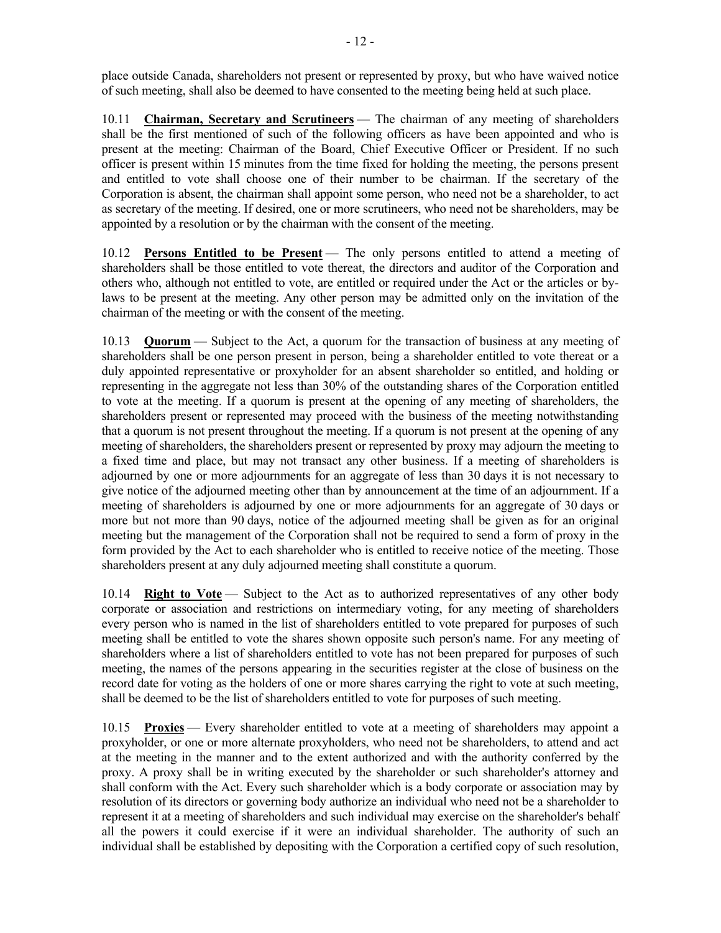place outside Canada, shareholders not present or represented by proxy, but who have waived notice of such meeting, shall also be deemed to have consented to the meeting being held at such place.

10.11 **Chairman, Secretary and Scrutineers** — The chairman of any meeting of shareholders shall be the first mentioned of such of the following officers as have been appointed and who is present at the meeting: Chairman of the Board, Chief Executive Officer or President. If no such officer is present within 15 minutes from the time fixed for holding the meeting, the persons present and entitled to vote shall choose one of their number to be chairman. If the secretary of the Corporation is absent, the chairman shall appoint some person, who need not be a shareholder, to act as secretary of the meeting. If desired, one or more scrutineers, who need not be shareholders, may be appointed by a resolution or by the chairman with the consent of the meeting.

10.12 **Persons Entitled to be Present** — The only persons entitled to attend a meeting of shareholders shall be those entitled to vote thereat, the directors and auditor of the Corporation and others who, although not entitled to vote, are entitled or required under the Act or the articles or bylaws to be present at the meeting. Any other person may be admitted only on the invitation of the chairman of the meeting or with the consent of the meeting.

10.13 **Quorum** — Subject to the Act, a quorum for the transaction of business at any meeting of shareholders shall be one person present in person, being a shareholder entitled to vote thereat or a duly appointed representative or proxyholder for an absent shareholder so entitled, and holding or representing in the aggregate not less than 30% of the outstanding shares of the Corporation entitled to vote at the meeting. If a quorum is present at the opening of any meeting of shareholders, the shareholders present or represented may proceed with the business of the meeting notwithstanding that a quorum is not present throughout the meeting. If a quorum is not present at the opening of any meeting of shareholders, the shareholders present or represented by proxy may adjourn the meeting to a fixed time and place, but may not transact any other business. If a meeting of shareholders is adjourned by one or more adjournments for an aggregate of less than 30 days it is not necessary to give notice of the adjourned meeting other than by announcement at the time of an adjournment. If a meeting of shareholders is adjourned by one or more adjournments for an aggregate of 30 days or more but not more than 90 days, notice of the adjourned meeting shall be given as for an original meeting but the management of the Corporation shall not be required to send a form of proxy in the form provided by the Act to each shareholder who is entitled to receive notice of the meeting. Those shareholders present at any duly adjourned meeting shall constitute a quorum.

10.14 **Right to Vote** — Subject to the Act as to authorized representatives of any other body corporate or association and restrictions on intermediary voting, for any meeting of shareholders every person who is named in the list of shareholders entitled to vote prepared for purposes of such meeting shall be entitled to vote the shares shown opposite such person's name. For any meeting of shareholders where a list of shareholders entitled to vote has not been prepared for purposes of such meeting, the names of the persons appearing in the securities register at the close of business on the record date for voting as the holders of one or more shares carrying the right to vote at such meeting, shall be deemed to be the list of shareholders entitled to vote for purposes of such meeting.

10.15 **Proxies** — Every shareholder entitled to vote at a meeting of shareholders may appoint a proxyholder, or one or more alternate proxyholders, who need not be shareholders, to attend and act at the meeting in the manner and to the extent authorized and with the authority conferred by the proxy. A proxy shall be in writing executed by the shareholder or such shareholder's attorney and shall conform with the Act. Every such shareholder which is a body corporate or association may by resolution of its directors or governing body authorize an individual who need not be a shareholder to represent it at a meeting of shareholders and such individual may exercise on the shareholder's behalf all the powers it could exercise if it were an individual shareholder. The authority of such an individual shall be established by depositing with the Corporation a certified copy of such resolution,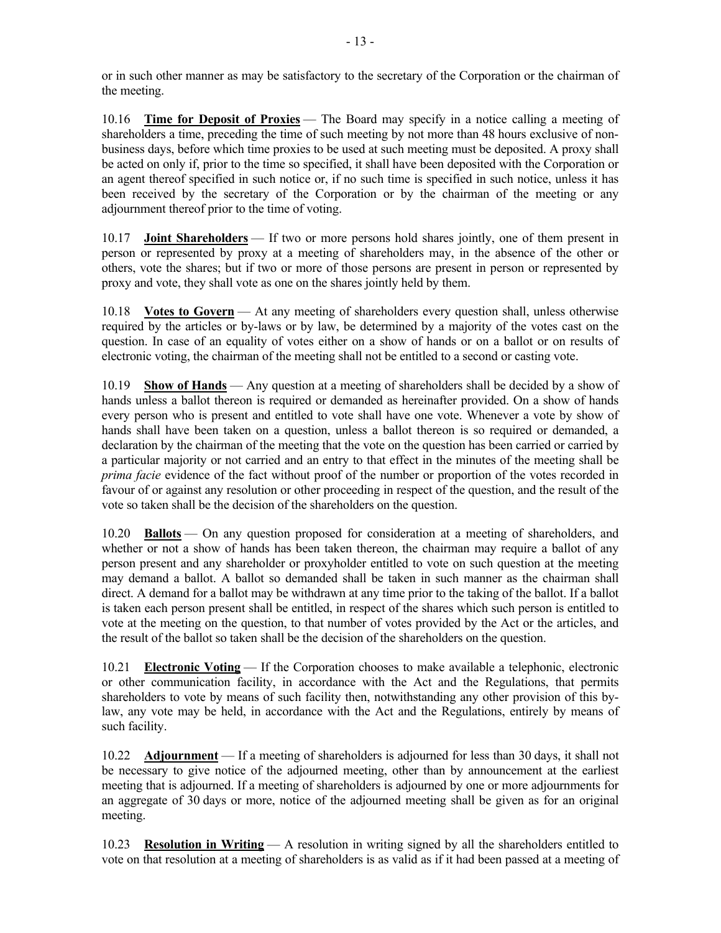or in such other manner as may be satisfactory to the secretary of the Corporation or the chairman of the meeting.

10.16 **Time for Deposit of Proxies** — The Board may specify in a notice calling a meeting of shareholders a time, preceding the time of such meeting by not more than 48 hours exclusive of nonbusiness days, before which time proxies to be used at such meeting must be deposited. A proxy shall be acted on only if, prior to the time so specified, it shall have been deposited with the Corporation or an agent thereof specified in such notice or, if no such time is specified in such notice, unless it has been received by the secretary of the Corporation or by the chairman of the meeting or any adjournment thereof prior to the time of voting.

10.17 **Joint Shareholders** — If two or more persons hold shares jointly, one of them present in person or represented by proxy at a meeting of shareholders may, in the absence of the other or others, vote the shares; but if two or more of those persons are present in person or represented by proxy and vote, they shall vote as one on the shares jointly held by them.

10.18 **Votes to Govern** — At any meeting of shareholders every question shall, unless otherwise required by the articles or by-laws or by law, be determined by a majority of the votes cast on the question. In case of an equality of votes either on a show of hands or on a ballot or on results of electronic voting, the chairman of the meeting shall not be entitled to a second or casting vote.

10.19 **Show of Hands** — Any question at a meeting of shareholders shall be decided by a show of hands unless a ballot thereon is required or demanded as hereinafter provided. On a show of hands every person who is present and entitled to vote shall have one vote. Whenever a vote by show of hands shall have been taken on a question, unless a ballot thereon is so required or demanded, a declaration by the chairman of the meeting that the vote on the question has been carried or carried by a particular majority or not carried and an entry to that effect in the minutes of the meeting shall be *prima facie* evidence of the fact without proof of the number or proportion of the votes recorded in favour of or against any resolution or other proceeding in respect of the question, and the result of the vote so taken shall be the decision of the shareholders on the question.

10.20 **Ballots** — On any question proposed for consideration at a meeting of shareholders, and whether or not a show of hands has been taken thereon, the chairman may require a ballot of any person present and any shareholder or proxyholder entitled to vote on such question at the meeting may demand a ballot. A ballot so demanded shall be taken in such manner as the chairman shall direct. A demand for a ballot may be withdrawn at any time prior to the taking of the ballot. If a ballot is taken each person present shall be entitled, in respect of the shares which such person is entitled to vote at the meeting on the question, to that number of votes provided by the Act or the articles, and the result of the ballot so taken shall be the decision of the shareholders on the question.

10.21 **Electronic Voting** — If the Corporation chooses to make available a telephonic, electronic or other communication facility, in accordance with the Act and the Regulations, that permits shareholders to vote by means of such facility then, notwithstanding any other provision of this bylaw, any vote may be held, in accordance with the Act and the Regulations, entirely by means of such facility.

10.22 **Adjournment** — If a meeting of shareholders is adjourned for less than 30 days, it shall not be necessary to give notice of the adjourned meeting, other than by announcement at the earliest meeting that is adjourned. If a meeting of shareholders is adjourned by one or more adjournments for an aggregate of 30 days or more, notice of the adjourned meeting shall be given as for an original meeting.

10.23 **Resolution in Writing** — A resolution in writing signed by all the shareholders entitled to vote on that resolution at a meeting of shareholders is as valid as if it had been passed at a meeting of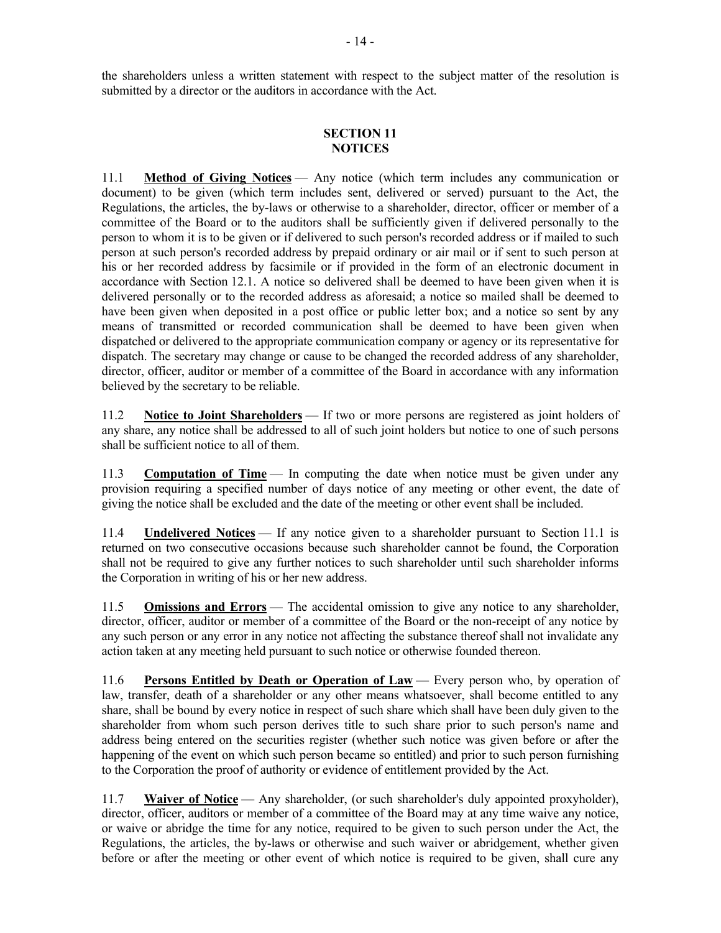the shareholders unless a written statement with respect to the subject matter of the resolution is submitted by a director or the auditors in accordance with the Act.

### **SECTION 11 NOTICES**

11.1 **Method of Giving Notices** — Any notice (which term includes any communication or document) to be given (which term includes sent, delivered or served) pursuant to the Act, the Regulations, the articles, the by-laws or otherwise to a shareholder, director, officer or member of a committee of the Board or to the auditors shall be sufficiently given if delivered personally to the person to whom it is to be given or if delivered to such person's recorded address or if mailed to such person at such person's recorded address by prepaid ordinary or air mail or if sent to such person at his or her recorded address by facsimile or if provided in the form of an electronic document in accordance with Section 12.1. A notice so delivered shall be deemed to have been given when it is delivered personally or to the recorded address as aforesaid; a notice so mailed shall be deemed to have been given when deposited in a post office or public letter box; and a notice so sent by any means of transmitted or recorded communication shall be deemed to have been given when dispatched or delivered to the appropriate communication company or agency or its representative for dispatch. The secretary may change or cause to be changed the recorded address of any shareholder, director, officer, auditor or member of a committee of the Board in accordance with any information believed by the secretary to be reliable.

11.2 **Notice to Joint Shareholders** — If two or more persons are registered as joint holders of any share, any notice shall be addressed to all of such joint holders but notice to one of such persons shall be sufficient notice to all of them.

11.3 **Computation of Time** — In computing the date when notice must be given under any provision requiring a specified number of days notice of any meeting or other event, the date of giving the notice shall be excluded and the date of the meeting or other event shall be included.

11.4 **Undelivered Notices** — If any notice given to a shareholder pursuant to Section 11.1 is returned on two consecutive occasions because such shareholder cannot be found, the Corporation shall not be required to give any further notices to such shareholder until such shareholder informs the Corporation in writing of his or her new address.

11.5 **Omissions and Errors** — The accidental omission to give any notice to any shareholder, director, officer, auditor or member of a committee of the Board or the non-receipt of any notice by any such person or any error in any notice not affecting the substance thereof shall not invalidate any action taken at any meeting held pursuant to such notice or otherwise founded thereon.

11.6 **Persons Entitled by Death or Operation of Law** — Every person who, by operation of law, transfer, death of a shareholder or any other means whatsoever, shall become entitled to any share, shall be bound by every notice in respect of such share which shall have been duly given to the shareholder from whom such person derives title to such share prior to such person's name and address being entered on the securities register (whether such notice was given before or after the happening of the event on which such person became so entitled) and prior to such person furnishing to the Corporation the proof of authority or evidence of entitlement provided by the Act.

11.7 **Waiver of Notice** — Any shareholder, (or such shareholder's duly appointed proxyholder), director, officer, auditors or member of a committee of the Board may at any time waive any notice, or waive or abridge the time for any notice, required to be given to such person under the Act, the Regulations, the articles, the by-laws or otherwise and such waiver or abridgement, whether given before or after the meeting or other event of which notice is required to be given, shall cure any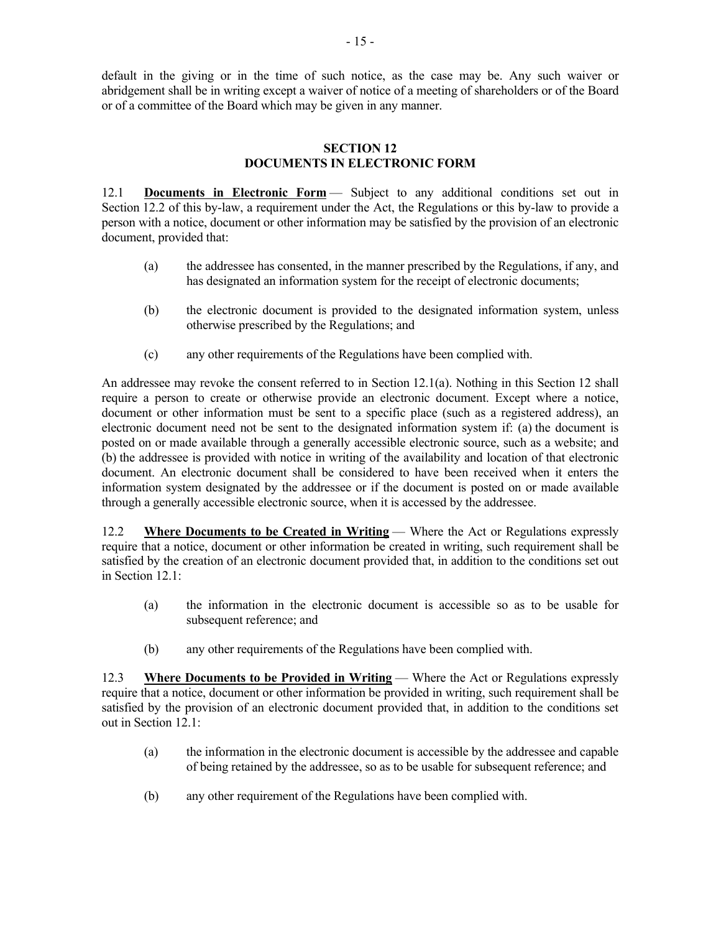default in the giving or in the time of such notice, as the case may be. Any such waiver or abridgement shall be in writing except a waiver of notice of a meeting of shareholders or of the Board or of a committee of the Board which may be given in any manner.

#### **SECTION 12 DOCUMENTS IN ELECTRONIC FORM**

12.1 **Documents in Electronic Form** — Subject to any additional conditions set out in Section 12.2 of this by-law, a requirement under the Act, the Regulations or this by-law to provide a person with a notice, document or other information may be satisfied by the provision of an electronic document, provided that:

- (a) the addressee has consented, in the manner prescribed by the Regulations, if any, and has designated an information system for the receipt of electronic documents;
- (b) the electronic document is provided to the designated information system, unless otherwise prescribed by the Regulations; and
- (c) any other requirements of the Regulations have been complied with.

An addressee may revoke the consent referred to in Section 12.1(a). Nothing in this Section 12 shall require a person to create or otherwise provide an electronic document. Except where a notice, document or other information must be sent to a specific place (such as a registered address), an electronic document need not be sent to the designated information system if: (a) the document is posted on or made available through a generally accessible electronic source, such as a website; and (b) the addressee is provided with notice in writing of the availability and location of that electronic document. An electronic document shall be considered to have been received when it enters the information system designated by the addressee or if the document is posted on or made available through a generally accessible electronic source, when it is accessed by the addressee.

12.2 **Where Documents to be Created in Writing** — Where the Act or Regulations expressly require that a notice, document or other information be created in writing, such requirement shall be satisfied by the creation of an electronic document provided that, in addition to the conditions set out in Section 12.1:

- (a) the information in the electronic document is accessible so as to be usable for subsequent reference; and
- (b) any other requirements of the Regulations have been complied with.

12.3 **Where Documents to be Provided in Writing** — Where the Act or Regulations expressly require that a notice, document or other information be provided in writing, such requirement shall be satisfied by the provision of an electronic document provided that, in addition to the conditions set out in Section 12.1:

- (a) the information in the electronic document is accessible by the addressee and capable of being retained by the addressee, so as to be usable for subsequent reference; and
- (b) any other requirement of the Regulations have been complied with.